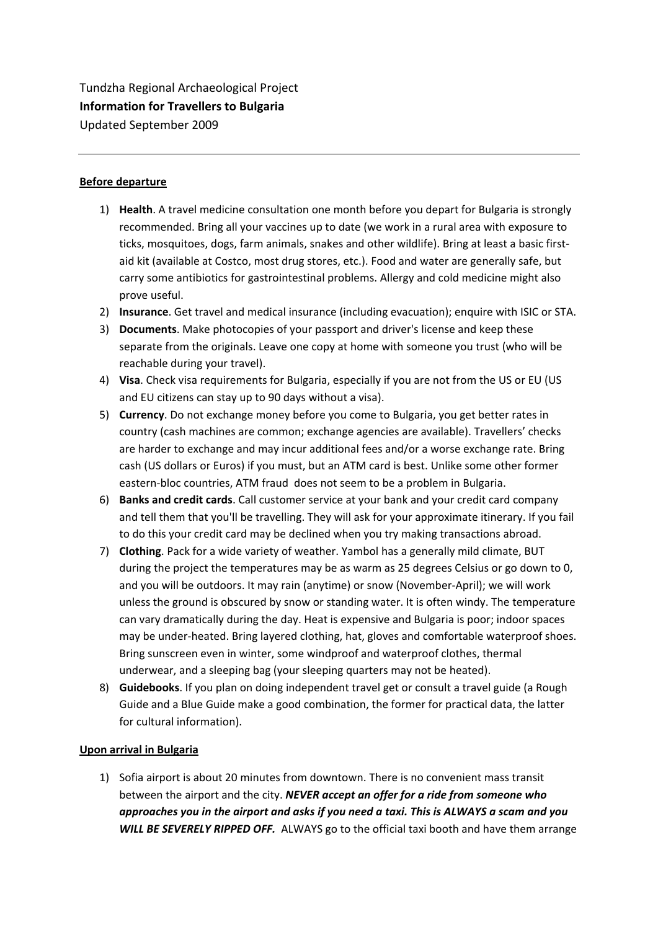Tundzha Regional Archaeological Project **Information for Travellers to Bulgaria**  Updated September 2009

# **Before departure**

- 1) **Health**. A travel medicine consultation one month before you depart for Bulgaria is strongly recommended. Bring all your vaccines up to date (we work in a rural area with exposure to ticks, mosquitoes, dogs, farm animals, snakes and other wildlife). Bring at least a basic first‐ aid kit (available at Costco, most drug stores, etc.). Food and water are generally safe, but carry some antibiotics for gastrointestinal problems. Allergy and cold medicine might also prove useful.
- 2) **Insurance**. Get travel and medical insurance (including evacuation); enquire with ISIC or STA.
- 3) **Documents**. Make photocopies of your passport and driver's license and keep these separate from the originals. Leave one copy at home with someone you trust (who will be reachable during your travel).
- 4) **Visa**. Check visa requirements for Bulgaria, especially if you are not from the US or EU (US and EU citizens can stay up to 90 days without a visa).
- 5) **Currency**. Do not exchange money before you come to Bulgaria, you get better rates in country (cash machines are common; exchange agencies are available). Travellers' checks are harder to exchange and may incur additional fees and/or a worse exchange rate. Bring cash (US dollars or Euros) if you must, but an ATM card is best. Unlike some other former eastern‐bloc countries, ATM fraud does not seem to be a problem in Bulgaria.
- 6) **Banks and credit cards**. Call customer service at your bank and your credit card company and tell them that you'll be travelling. They will ask for your approximate itinerary. If you fail to do this your credit card may be declined when you try making transactions abroad.
- 7) **Clothing**. Pack for a wide variety of weather. Yambol has a generally mild climate, BUT during the project the temperatures may be as warm as 25 degrees Celsius or go down to 0, and you will be outdoors. It may rain (anytime) or snow (November‐April); we will work unless the ground is obscured by snow or standing water. It is often windy. The temperature can vary dramatically during the day. Heat is expensive and Bulgaria is poor; indoor spaces may be under‐heated. Bring layered clothing, hat, gloves and comfortable waterproof shoes. Bring sunscreen even in winter, some windproof and waterproof clothes, thermal underwear, and a sleeping bag (your sleeping quarters may not be heated).
- 8) **Guidebooks**. If you plan on doing independent travel get or consult a travel guide (a Rough Guide and a Blue Guide make a good combination, the former for practical data, the latter for cultural information).

### **Upon arrival in Bulgaria**

1) Sofia airport is about 20 minutes from downtown. There is no convenient mass transit between the airport and the city. *NEVER accept an offer for a ride from someone who approaches you in the airport and asks if you need a taxi. This is ALWAYS a scam and you WILL BE SEVERELY RIPPED OFF.* ALWAYS go to the official taxi booth and have them arrange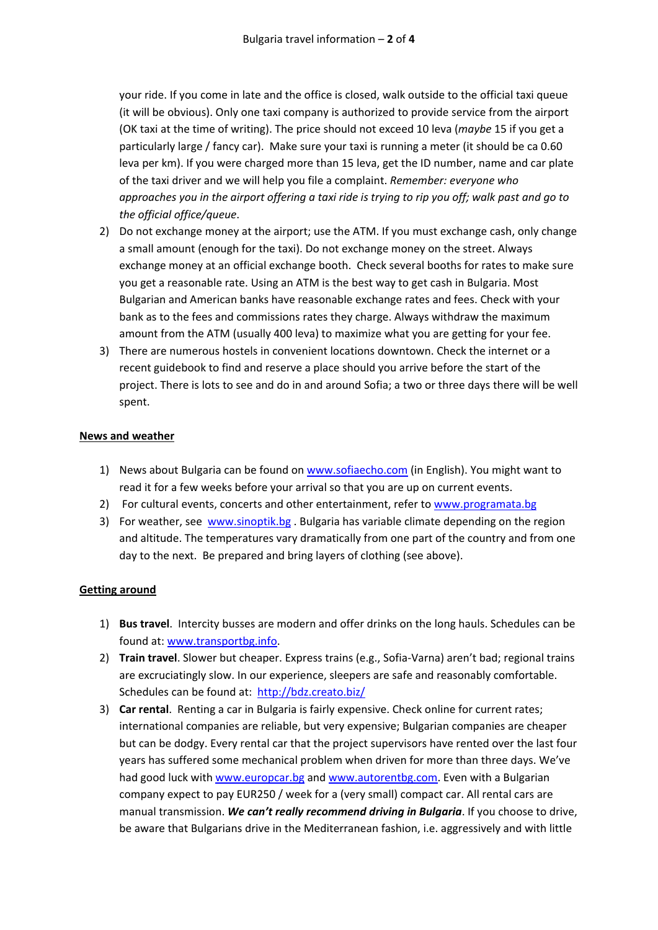your ride. If you come in late and the office is closed, walk outside to the official taxi queue (it will be obvious). Only one taxi company is authorized to provide service from the airport (OK taxi at the time of writing). The price should not exceed 10 leva (*maybe* 15 if you get a particularly large / fancy car). Make sure your taxi is running a meter (it should be ca 0.60 leva per km). If you were charged more than 15 leva, get the ID number, name and car plate of the taxi driver and we will help you file a complaint. *Remember: everyone who* approaches you in the airport offering a taxi ride is trying to rip you off; walk past and go to *the official office/queue*.

- 2) Do not exchange money at the airport; use the ATM. If you must exchange cash, only change a small amount (enough for the taxi). Do not exchange money on the street. Always exchange money at an official exchange booth. Check several booths for rates to make sure you get a reasonable rate. Using an ATM is the best way to get cash in Bulgaria. Most Bulgarian and American banks have reasonable exchange rates and fees. Check with your bank as to the fees and commissions rates they charge. Always withdraw the maximum amount from the ATM (usually 400 leva) to maximize what you are getting for your fee.
- 3) There are numerous hostels in convenient locations downtown. Check the internet or a recent guidebook to find and reserve a place should you arrive before the start of the project. There is lots to see and do in and around Sofia; a two or three days there will be well spent.

# **News and weather**

- 1) News about Bulgaria can be found on www.sofiaecho.com (in English). You might want to read it for a few weeks before your arrival so that you are up on current events.
- 2) For cultural events, concerts and other entertainment, refer to www.programata.bg
- 3) For weather, see www.sinoptik.bg . Bulgaria has variable climate depending on the region and altitude. The temperatures vary dramatically from one part of the country and from one day to the next. Be prepared and bring layers of clothing (see above).

### **Getting around**

- 1) **Bus travel**. Intercity busses are modern and offer drinks on the long hauls. Schedules can be found at: www.transportbg.info.
- 2) **Train travel**. Slower but cheaper. Express trains (e.g., Sofia‐Varna) aren't bad; regional trains are excruciatingly slow. In our experience, sleepers are safe and reasonably comfortable. Schedules can be found at: http://bdz.creato.biz/
- 3) **Car rental**. Renting a car in Bulgaria is fairly expensive. Check online for current rates; international companies are reliable, but very expensive; Bulgarian companies are cheaper but can be dodgy. Every rental car that the project supervisors have rented over the last four years has suffered some mechanical problem when driven for more than three days. We've had good luck with www.europcar.bg and www.autorentbg.com. Even with a Bulgarian company expect to pay EUR250 / week for a (very small) compact car. All rental cars are manual transmission. *We can't really recommend driving in Bulgaria*. If you choose to drive, be aware that Bulgarians drive in the Mediterranean fashion, i.e. aggressively and with little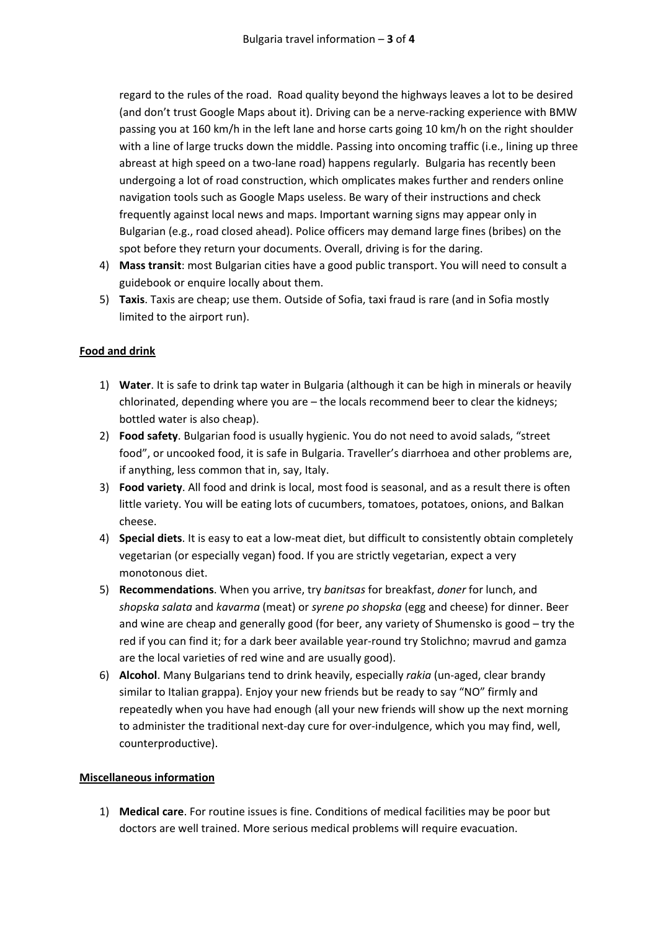regard to the rules of the road. Road quality beyond the highways leaves a lot to be desired (and don't trust Google Maps about it). Driving can be a nerve‐racking experience with BMW passing you at 160 km/h in the left lane and horse carts going 10 km/h on the right shoulder with a line of large trucks down the middle. Passing into oncoming traffic (i.e., lining up three abreast at high speed on a two-lane road) happens regularly. Bulgaria has recently been undergoing a lot of road construction, which omplicates makes further and renders online navigation tools such as Google Maps useless. Be wary of their instructions and check frequently against local news and maps. Important warning signs may appear only in Bulgarian (e.g., road closed ahead). Police officers may demand large fines (bribes) on the spot before they return your documents. Overall, driving is for the daring.

- 4) **Mass transit**: most Bulgarian cities have a good public transport. You will need to consult a guidebook or enquire locally about them.
- 5) **Taxis**. Taxis are cheap; use them. Outside of Sofia, taxi fraud is rare (and in Sofia mostly limited to the airport run).

# **Food and drink**

- 1) **Water**. It is safe to drink tap water in Bulgaria (although it can be high in minerals or heavily chlorinated, depending where you are – the locals recommend beer to clear the kidneys; bottled water is also cheap).
- 2) **Food safety**. Bulgarian food is usually hygienic. You do not need to avoid salads, "street food", or uncooked food, it is safe in Bulgaria. Traveller's diarrhoea and other problems are, if anything, less common that in, say, Italy.
- 3) **Food variety**. All food and drink is local, most food is seasonal, and as a result there is often little variety. You will be eating lots of cucumbers, tomatoes, potatoes, onions, and Balkan cheese.
- 4) **Special diets**. It is easy to eat a low‐meat diet, but difficult to consistently obtain completely vegetarian (or especially vegan) food. If you are strictly vegetarian, expect a very monotonous diet.
- 5) **Recommendations**. When you arrive, try *banitsas* for breakfast, *doner* for lunch, and *shopska salata* and *kavarma* (meat) or *syrene po shopska* (egg and cheese) for dinner. Beer and wine are cheap and generally good (for beer, any variety of Shumensko is good – try the red if you can find it; for a dark beer available year‐round try Stolichno; mavrud and gamza are the local varieties of red wine and are usually good).
- 6) **Alcohol**. Many Bulgarians tend to drink heavily, especially *rakia* (un‐aged, clear brandy similar to Italian grappa). Enjoy your new friends but be ready to say "NO" firmly and repeatedly when you have had enough (all your new friends will show up the next morning to administer the traditional next-day cure for over-indulgence, which you may find, well, counterproductive).

### **Miscellaneous information**

1) **Medical care**. For routine issues is fine. Conditions of medical facilities may be poor but doctors are well trained. More serious medical problems will require evacuation.